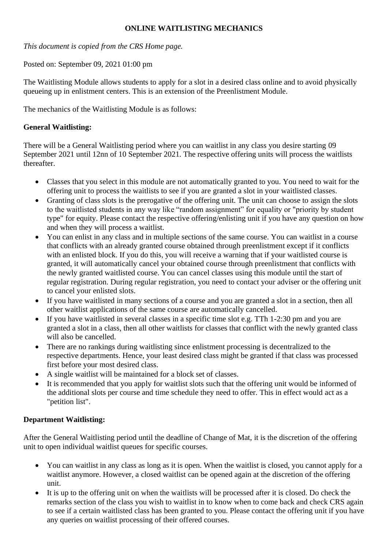## **ONLINE WAITLISTING MECHANICS**

*This document is copied from the CRS Home page.* 

Posted on: September 09, 2021 01:00 pm

The Waitlisting Module allows students to apply for a slot in a desired class online and to avoid physically queueing up in enlistment centers. This is an extension of the Preenlistment Module.

The mechanics of the Waitlisting Module is as follows:

## **General Waitlisting:**

There will be a General Waitlisting period where you can waitlist in any class you desire starting 09 September 2021 until 12nn of 10 September 2021. The respective offering units will process the waitlists thereafter.

- Classes that you select in this module are not automatically granted to you. You need to wait for the offering unit to process the waitlists to see if you are granted a slot in your waitlisted classes.
- Granting of class slots is the prerogative of the offering unit. The unit can choose to assign the slots to the waitlisted students in any way like "random assignment" for equality or "priority by student type" for equity. Please contact the respective offering/enlisting unit if you have any question on how and when they will process a waitlist.
- You can enlist in any class and in multiple sections of the same course. You can waitlist in a course that conflicts with an already granted course obtained through preenlistment except if it conflicts with an enlisted block. If you do this, you will receive a warning that if your waitlisted course is granted, it will automatically cancel your obtained course through preenlistment that conflicts with the newly granted waitlisted course. You can cancel classes using this module until the start of regular registration. During regular registration, you need to contact your adviser or the offering unit to cancel your enlisted slots.
- If you have waitlisted in many sections of a course and you are granted a slot in a section, then all other waitlist applications of the same course are automatically cancelled.
- If you have waitlisted in several classes in a specific time slot e.g. TTh 1-2:30 pm and you are granted a slot in a class, then all other waitlists for classes that conflict with the newly granted class will also be cancelled.
- There are no rankings during waitlisting since enlistment processing is decentralized to the respective departments. Hence, your least desired class might be granted if that class was processed first before your most desired class.
- A single waitlist will be maintained for a block set of classes.
- It is recommended that you apply for waitlist slots such that the offering unit would be informed of the additional slots per course and time schedule they need to offer. This in effect would act as a "petition list".

## **Department Waitlisting:**

After the General Waitlisting period until the deadline of Change of Mat, it is the discretion of the offering unit to open individual waitlist queues for specific courses.

- You can waitlist in any class as long as it is open. When the waitlist is closed, you cannot apply for a waitlist anymore. However, a closed waitlist can be opened again at the discretion of the offering unit.
- It is up to the offering unit on when the waitlists will be processed after it is closed. Do check the remarks section of the class you wish to waitlist in to know when to come back and check CRS again to see if a certain waitlisted class has been granted to you. Please contact the offering unit if you have any queries on waitlist processing of their offered courses.